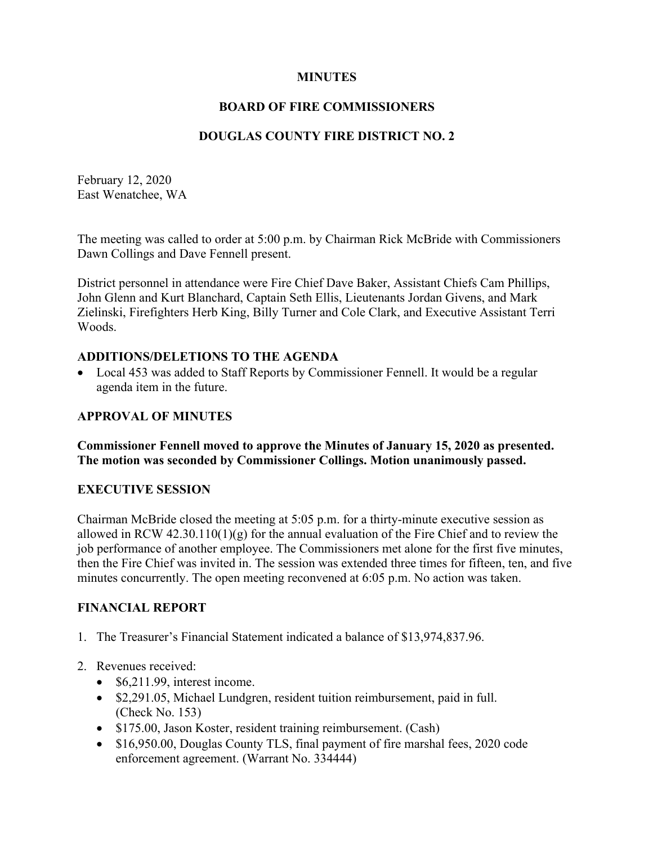#### **MINUTES**

## **BOARD OF FIRE COMMISSIONERS**

# **DOUGLAS COUNTY FIRE DISTRICT NO. 2**

February 12, 2020 East Wenatchee, WA

The meeting was called to order at 5:00 p.m. by Chairman Rick McBride with Commissioners Dawn Collings and Dave Fennell present.

District personnel in attendance were Fire Chief Dave Baker, Assistant Chiefs Cam Phillips, John Glenn and Kurt Blanchard, Captain Seth Ellis, Lieutenants Jordan Givens, and Mark Zielinski, Firefighters Herb King, Billy Turner and Cole Clark, and Executive Assistant Terri Woods.

#### **ADDITIONS/DELETIONS TO THE AGENDA**

• Local 453 was added to Staff Reports by Commissioner Fennell. It would be a regular agenda item in the future.

## **APPROVAL OF MINUTES**

**Commissioner Fennell moved to approve the Minutes of January 15, 2020 as presented. The motion was seconded by Commissioner Collings. Motion unanimously passed.**

#### **EXECUTIVE SESSION**

Chairman McBride closed the meeting at 5:05 p.m. for a thirty-minute executive session as allowed in RCW 42.30.110(1)(g) for the annual evaluation of the Fire Chief and to review the job performance of another employee. The Commissioners met alone for the first five minutes, then the Fire Chief was invited in. The session was extended three times for fifteen, ten, and five minutes concurrently. The open meeting reconvened at 6:05 p.m. No action was taken.

#### **FINANCIAL REPORT**

- 1. The Treasurer's Financial Statement indicated a balance of \$13,974,837.96.
- 2. Revenues received:
	- \$6,211.99, interest income.
	- \$2,291.05, Michael Lundgren, resident tuition reimbursement, paid in full. (Check No. 153)
	- \$175.00, Jason Koster, resident training reimbursement. (Cash)
	- \$16,950.00, Douglas County TLS, final payment of fire marshal fees, 2020 code enforcement agreement. (Warrant No. 334444)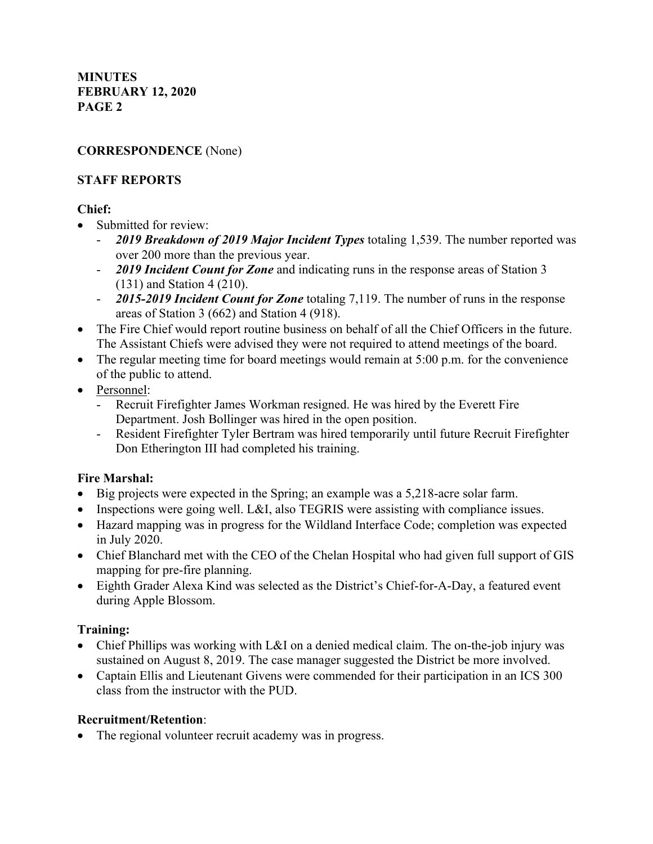## **CORRESPONDENCE** (None)

## **STAFF REPORTS**

# **Chief:**

- Submitted for review:
	- *2019 Breakdown of 2019 Major Incident Types* totaling 1,539. The number reported was over 200 more than the previous year.
	- *2019 Incident Count for Zone* and indicating runs in the response areas of Station 3 (131) and Station 4 (210).
	- *2015-2019 Incident Count for Zone* totaling 7,119. The number of runs in the response areas of Station 3 (662) and Station 4 (918).
- The Fire Chief would report routine business on behalf of all the Chief Officers in the future. The Assistant Chiefs were advised they were not required to attend meetings of the board.
- The regular meeting time for board meetings would remain at 5:00 p.m. for the convenience of the public to attend.
- Personnel:
	- Recruit Firefighter James Workman resigned. He was hired by the Everett Fire Department. Josh Bollinger was hired in the open position.
	- Resident Firefighter Tyler Bertram was hired temporarily until future Recruit Firefighter Don Etherington III had completed his training.

# **Fire Marshal:**

- Big projects were expected in the Spring; an example was a 5,218-acre solar farm.
- Inspections were going well. L&I, also TEGRIS were assisting with compliance issues.
- Hazard mapping was in progress for the Wildland Interface Code; completion was expected in July 2020.
- Chief Blanchard met with the CEO of the Chelan Hospital who had given full support of GIS mapping for pre-fire planning.
- Eighth Grader Alexa Kind was selected as the District's Chief-for-A-Day, a featured event during Apple Blossom.

# **Training:**

- Chief Phillips was working with L&I on a denied medical claim. The on-the-job injury was sustained on August 8, 2019. The case manager suggested the District be more involved.
- Captain Ellis and Lieutenant Givens were commended for their participation in an ICS 300 class from the instructor with the PUD.

#### **Recruitment/Retention**:

• The regional volunteer recruit academy was in progress.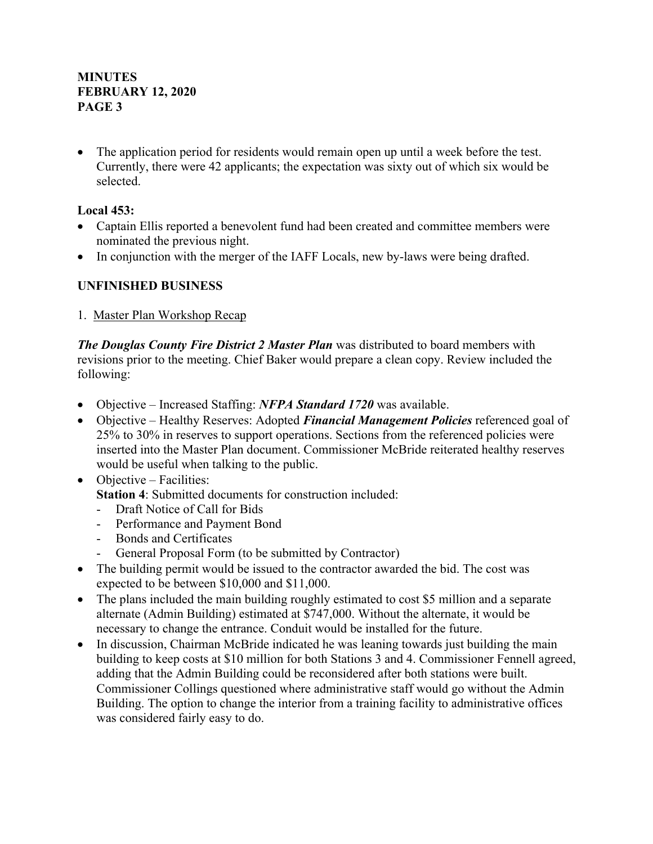The application period for residents would remain open up until a week before the test. Currently, there were 42 applicants; the expectation was sixty out of which six would be selected.

# **Local 453:**

- Captain Ellis reported a benevolent fund had been created and committee members were nominated the previous night.
- In conjunction with the merger of the IAFF Locals, new by-laws were being drafted.

# **UNFINISHED BUSINESS**

1. Master Plan Workshop Recap

*The Douglas County Fire District 2 Master Plan* was distributed to board members with revisions prior to the meeting. Chief Baker would prepare a clean copy. Review included the following:

- Objective Increased Staffing: *NFPA Standard 1720* was available.
- Objective Healthy Reserves: Adopted *Financial Management Policies* referenced goal of 25% to 30% in reserves to support operations. Sections from the referenced policies were inserted into the Master Plan document. Commissioner McBride reiterated healthy reserves would be useful when talking to the public.
- Objective Facilities:

**Station 4:** Submitted documents for construction included:

- Draft Notice of Call for Bids
- Performance and Payment Bond
- Bonds and Certificates
- General Proposal Form (to be submitted by Contractor)
- The building permit would be issued to the contractor awarded the bid. The cost was expected to be between \$10,000 and \$11,000.
- The plans included the main building roughly estimated to cost \$5 million and a separate alternate (Admin Building) estimated at \$747,000. Without the alternate, it would be necessary to change the entrance. Conduit would be installed for the future.
- In discussion, Chairman McBride indicated he was leaning towards just building the main building to keep costs at \$10 million for both Stations 3 and 4. Commissioner Fennell agreed, adding that the Admin Building could be reconsidered after both stations were built. Commissioner Collings questioned where administrative staff would go without the Admin Building. The option to change the interior from a training facility to administrative offices was considered fairly easy to do.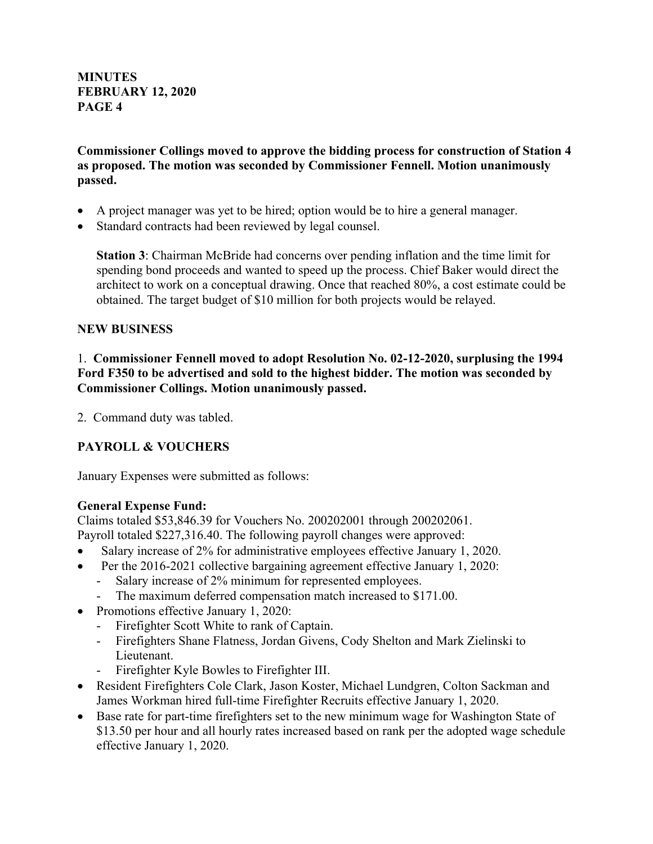**Commissioner Collings moved to approve the bidding process for construction of Station 4 as proposed. The motion was seconded by Commissioner Fennell. Motion unanimously passed.**

- A project manager was yet to be hired; option would be to hire a general manager.
- Standard contracts had been reviewed by legal counsel.

**Station 3**: Chairman McBride had concerns over pending inflation and the time limit for spending bond proceeds and wanted to speed up the process. Chief Baker would direct the architect to work on a conceptual drawing. Once that reached 80%, a cost estimate could be obtained. The target budget of \$10 million for both projects would be relayed.

#### **NEW BUSINESS**

1. **Commissioner Fennell moved to adopt Resolution No. 02-12-2020, surplusing the 1994 Ford F350 to be advertised and sold to the highest bidder. The motion was seconded by Commissioner Collings. Motion unanimously passed.**

2. Command duty was tabled.

# **PAYROLL & VOUCHERS**

January Expenses were submitted as follows:

#### **General Expense Fund:**

Claims totaled \$53,846.39 for Vouchers No. 200202001 through 200202061.

Payroll totaled \$227,316.40. The following payroll changes were approved:

- Salary increase of 2% for administrative employees effective January 1, 2020.
- Per the 2016-2021 collective bargaining agreement effective January 1, 2020:
	- Salary increase of 2% minimum for represented employees.
	- The maximum deferred compensation match increased to \$171.00.
- Promotions effective January 1, 2020:
	- Firefighter Scott White to rank of Captain.
	- Firefighters Shane Flatness, Jordan Givens, Cody Shelton and Mark Zielinski to Lieutenant.
	- Firefighter Kyle Bowles to Firefighter III.
- Resident Firefighters Cole Clark, Jason Koster, Michael Lundgren, Colton Sackman and James Workman hired full-time Firefighter Recruits effective January 1, 2020.
- Base rate for part-time firefighters set to the new minimum wage for Washington State of \$13.50 per hour and all hourly rates increased based on rank per the adopted wage schedule effective January 1, 2020.